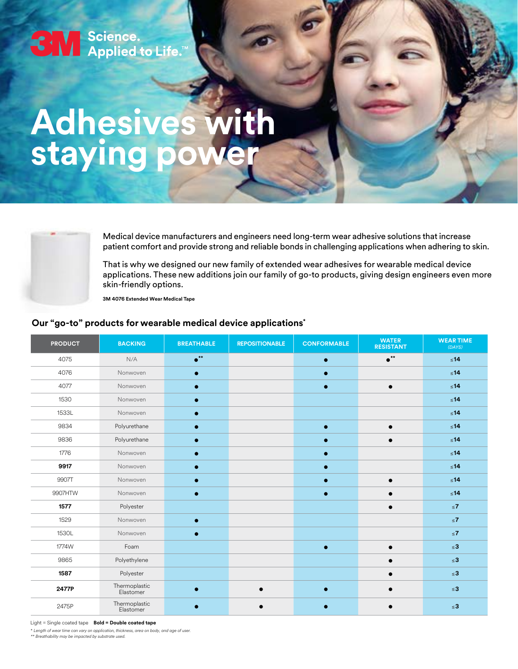# Seience.<br>Seience.<br>Applied to Life.™

## **Adhesives with staying power**



Medical device manufacturers and engineers need long-term wear adhesive solutions that increase patient comfort and provide strong and reliable bonds in challenging applications when adhering to skin.

That is why we designed our new family of extended wear adhesives for wearable medical device applications. These new additions join our family of go-to products, giving design engineers even more skin-friendly options.

**3M 4076 Extended Wear Medical Tape**

### **Our "go-to" products for wearable medical device applications\***

| <b>PRODUCT</b> | <b>BACKING</b>             | <b>BREATHABLE</b>      | <b>REPOSITIONABLE</b> | <b>CONFORMABLE</b> | <b>WATER</b><br><b>RESISTANT</b> | <b>WEAR TIME</b><br>(DAYS) |
|----------------|----------------------------|------------------------|-----------------------|--------------------|----------------------------------|----------------------------|
| 4075           | N/A                        | $\bullet^{\star\star}$ |                       | $\bullet$          | $\bullet^{\star\star}$           | $\leq 14$                  |
| 4076           | Nonwoven                   |                        |                       |                    |                                  | $\leq 14$                  |
| 4077           | Nonwoven                   |                        |                       |                    |                                  | $\leq 14$                  |
| 1530           | Nonwoven                   | $\bullet$              |                       |                    |                                  | $\leq 14$                  |
| 1533L          | Nonwoven                   |                        |                       |                    |                                  | $\leq 14$                  |
| 9834           | Polyurethane               |                        |                       |                    | $\bullet$                        | $\leq 14$                  |
| 9836           | Polyurethane               |                        |                       |                    |                                  | $\leq 14$                  |
| 1776           | Nonwoven                   |                        |                       |                    |                                  | $\leq 14$                  |
| 9917           | Nonwoven                   |                        |                       |                    |                                  | $\leq 14$                  |
| 9907T          | Nonwoven                   |                        |                       |                    |                                  | $\leq 14$                  |
| 9907HTW        | Nonwoven                   | $\bullet$              |                       |                    |                                  | $\leq 14$                  |
| 1577           | Polyester                  |                        |                       |                    |                                  | $\leq 7$                   |
| 1529           | Nonwoven                   |                        |                       |                    |                                  | $\leq 7$                   |
| 1530L          | Nonwoven                   |                        |                       |                    |                                  | $\leq 7$                   |
| 1774W          | Foam                       |                        |                       |                    |                                  | $\leq 3$                   |
| 9865           | Polyethylene               |                        |                       |                    |                                  | $\leq 3$                   |
| 1587           | Polyester                  |                        |                       |                    |                                  | $\leq 3$                   |
| 2477P          | Thermoplastic<br>Elastomer | $\bullet$              |                       |                    |                                  | $\leq 3$                   |
| 2475P          | Thermoplastic<br>Elastomer |                        |                       |                    |                                  | $\leq 3$                   |

Light = Single coated tape **Bold = Double coated tape**

\* *Length of wear time can vary on application, thickness, area on body, and age of user.*

*\*\* Breathability may be impacted by substrate used.*